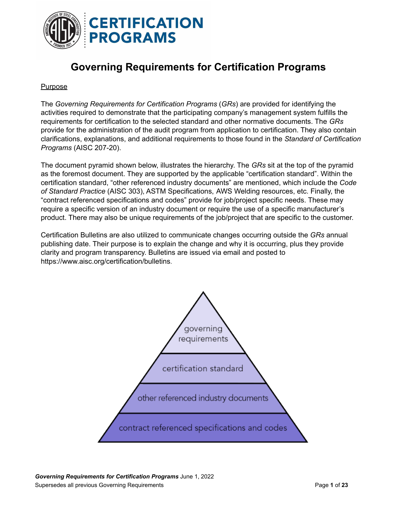

# **Governing Requirements for Certification Programs**

#### Purpose

The *Governing Requirements for Certification Programs* (*GRs*) are provided for identifying the activities required to demonstrate that the participating company's management system fulfills the requirements for certification to the selected standard and other normative documents. The *GRs* provide for the administration of the audit program from application to certification. They also contain clarifications, explanations, and additional requirements to those found in the *Standard of Certification Programs* (AISC 207-20).

The document pyramid shown below, illustrates the hierarchy. The *GRs* sit at the top of the pyramid as the foremost document. They are supported by the applicable "certification standard". Within the certification standard, "other referenced industry documents" are mentioned, which include the *Code of Standard Practice* (AISC 303), ASTM Specifications, AWS Welding resources, etc. Finally, the "contract referenced specifications and codes" provide for job/project specific needs. These may require a specific version of an industry document or require the use of a specific manufacturer's product. There may also be unique requirements of the job/project that are specific to the customer.

Certification Bulletins are also utilized to communicate changes occurring outside the *GRs* annual publishing date. Their purpose is to explain the change and why it is occurring, plus they provide clarity and program transparency. Bulletins are issued via email and posted to https://www.aisc.org/certification/bulletins.

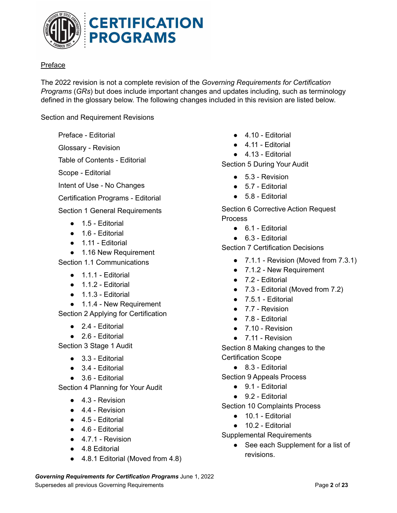

## Preface

The 2022 revision is not a complete revision of the *Governing Requirements for Certification Programs* (*GRs*) but does include important changes and updates including, such as terminology defined in the glossary below. The following changes included in this revision are listed below.

Section and Requirement Revisions

Preface - Editorial

Glossary - Revision

Table of Contents - Editorial

Scope - Editorial

Intent of Use - No Changes

Certification Programs - Editorial

Section 1 General Requirements

- 1.5 Editorial
- 1.6 Editorial
- 1.11 Editorial
- 1.16 New Requirement

Section 1.1 Communications

- $\bullet$  1.1.1 Editorial
- $\bullet$  1.1.2 Editorial
- $\bullet$  1.1.3 Editorial
- 1.1.4 New Requirement

Section 2 Applying for Certification

- $\bullet$  2.4 Editorial
- 2.6 Editorial

Section 3 Stage 1 Audit

- 3.3 Editorial
- $\bullet$  3.4 Editorial
- 3.6 Editorial

Section 4 Planning for Your Audit

- $\bullet$  4.3 Revision
- $\bullet$  4.4 Revision
- $\bullet$  4.5 Editorial
- $\bullet$  4.6 Editorial
- $\bullet$  4.7.1 Revision
- 4.8 Editorial
- 4.8.1 Editorial (Moved from 4.8)
- 4.10 Editorial
- $\bullet$  4.11 Editorial
- $\bullet$  4.13 Editorial

Section 5 During Your Audit

- $\bullet$  5.3 Revision
- 5.7 Editorial
- 5.8 Editorial

Section 6 Corrective Action Request Process

- $\bullet$  6.1 Editorial
- $\bullet$  6.3 Editorial

Section 7 Certification Decisions

- 7.1.1 Revision (Moved from 7.3.1)
- 7.1.2 New Requirement
- 7.2 Editorial
- 7.3 Editorial (Moved from 7.2)
- $\bullet$  7.5.1 Editorial
- 7.7 Revision
- 7.8 Editorial
- 7.10 Revision
- 7.11 Revision

Section 8 Making changes to the Certification Scope

● 8.3 - Editorial

Section 9 Appeals Process

- 9.1 Editorial
- 9.2 Editorial

Section 10 Complaints Process

- 10.1 Editorial
- 10.2 Editorial

Supplemental Requirements

● See each Supplement for a list of revisions.

*Governing Requirements for Certification Programs* June 1, 2022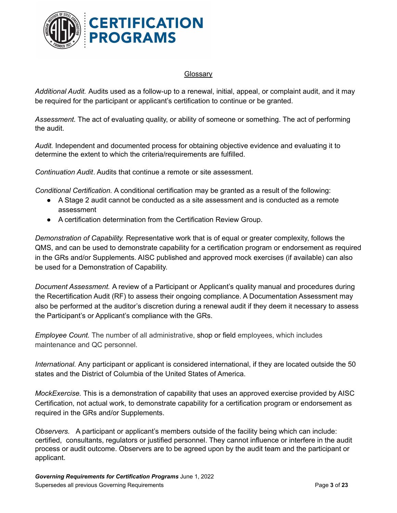

#### **Glossary**

*Additional Audit.* Audits used as a follow-up to a renewal, initial, appeal, or complaint audit, and it may be required for the participant or applicant's certification to continue or be granted.

*Assessment.* The act of evaluating quality, or ability of someone or something. The act of performing the audit.

*Audit.* Independent and documented process for obtaining objective evidence and evaluating it to determine the extent to which the criteria/requirements are fulfilled.

*Continuation Audit*. Audits that continue a remote or site assessment.

*Conditional Certification.* A conditional certification may be granted as a result of the following:

- A Stage 2 audit cannot be conducted as a site assessment and is conducted as a remote assessment
- A certification determination from the Certification Review Group.

*Demonstration of Capability.* Representative work that is of equal or greater complexity, follows the QMS, and can be used to demonstrate capability for a certification program or endorsement as required in the GRs and/or Supplements. AISC published and approved mock exercises (if available) can also be used for a Demonstration of Capability.

*Document Assessment.* A review of a Participant or Applicant's quality manual and procedures during the Recertification Audit (RF) to assess their ongoing compliance. A Documentation Assessment may also be performed at the auditor's discretion during a renewal audit if they deem it necessary to assess the Participant's or Applicant's compliance with the GRs.

*Employee Count.* The number of all administrative, shop or field employees, which includes maintenance and QC personnel.

*International.* Any participant or applicant is considered international, if they are located outside the 50 states and the District of Columbia of the United States of America.

*MockExercise.* This is a demonstration of capability that uses an approved exercise provided by AISC Certification, not actual work, to demonstrate capability for a certification program or endorsement as required in the GRs and/or Supplements.

*Observers.* A participant or applicant's members outside of the facility being which can include: certified, consultants, regulators or justified personnel. They cannot influence or interfere in the audit process or audit outcome. Observers are to be agreed upon by the audit team and the participant or applicant.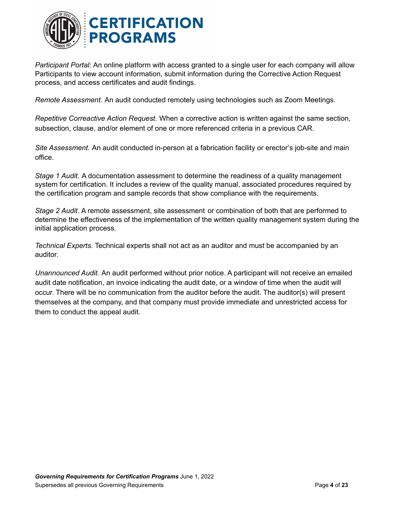

*Participant Portal:* An online platform with access granted to a single user for each company will allow Participants to view account information, submit information during the Corrective Action Request process, and access certificates and audit findings.

*Remote Assessment.* An audit conducted remotely using technologies such as Zoom Meetings.

*Repetitive Correactive Action Request.* When a corrective action is written against the same section, subsection, clause, and/or element of one or more referenced criteria in a previous CAR.

*Site Assessment.* An audit conducted in-person at a fabrication facility or erector's job-site and main office.

*Stage 1 Audit.* A documentation assessment to determine the readiness of a quality management system for certification. It includes a review of the quality manual, associated procedures required by the certification program and sample records that show compliance with the requirements.

*Stage 2 Audit*. A remote assessment, site assessment or combination of both that are performed to determine the effectiveness of the implementation of the written quality management system during the initial application process.

*Technical Experts.* Technical experts shall not act as an auditor and must be accompanied by an auditor.

*Unannounced Audit.* An audit performed without prior notice. A participant will not receive an emailed audit date notification, an invoice indicating the audit date, or a window of time when the audit will occur. There will be no communication from the auditor before the audit. The auditor(s) will present themselves at the company, and that company must provide immediate and unrestricted access for them to conduct the appeal audit.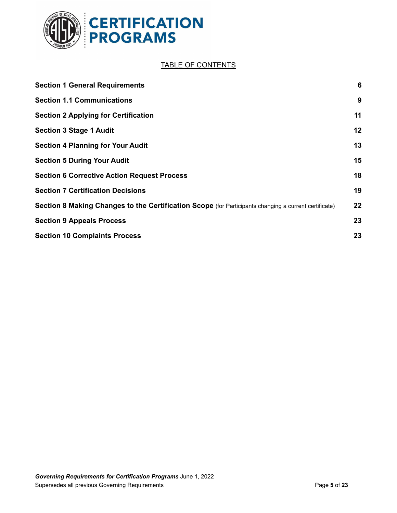

# TABLE OF CONTENTS

| <b>Section 1 General Requirements</b>                                                                 | 6  |
|-------------------------------------------------------------------------------------------------------|----|
| <b>Section 1.1 Communications</b>                                                                     | 9  |
| <b>Section 2 Applying for Certification</b>                                                           | 11 |
| <b>Section 3 Stage 1 Audit</b>                                                                        | 12 |
| <b>Section 4 Planning for Your Audit</b>                                                              | 13 |
| <b>Section 5 During Your Audit</b>                                                                    | 15 |
| <b>Section 6 Corrective Action Request Process</b>                                                    | 18 |
| <b>Section 7 Certification Decisions</b>                                                              | 19 |
| Section 8 Making Changes to the Certification Scope (for Participants changing a current certificate) | 22 |
| <b>Section 9 Appeals Process</b>                                                                      | 23 |
| <b>Section 10 Complaints Process</b>                                                                  | 23 |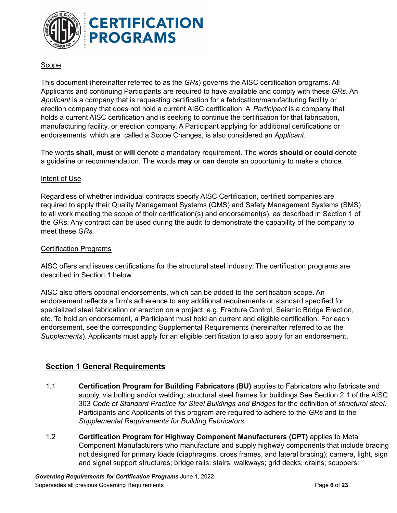

#### Scope

This document (hereinafter referred to as the *GRs*) governs the AISC certification programs. All Applicants and continuing Participants are required to have available and comply with these *GRs*. An *Applicant* is a company that is requesting certification for a fabrication/manufacturing facility or erection company that does not hold a current AISC certification. A *Participant* is a company that holds a current AISC certification and is seeking to continue the certification for that fabrication, manufacturing facility, or erection company. A Participant applying for additional certifications or endorsements, which are called a Scope Changes, is also considered an *Applicant*.

The words **shall, must** or **will** denote a mandatory requirement. The words **should or could** denote a guideline or recommendation. The words **may** or **can** denote an opportunity to make a choice.

#### Intent of Use

Regardless of whether individual contracts specify AISC Certification, certified companies are required to apply their Quality Management Systems (QMS) and Safety Management Systems (SMS) to all work meeting the scope of their certification(s) and endorsement(s), as described in Section 1 of the *GRs*. Any contract can be used during the audit to demonstrate the capability of the company to meet these *GRs.*

#### Certification Programs

AISC offers and issues certifications for the structural steel industry. The certification programs are described in Section 1 below.

AISC also offers optional endorsements, which can be added to the certification scope. An endorsement reflects a firm's adherence to any additional requirements or standard specified for specialized steel fabrication or erection on a project. e.g. Fracture Control, Seismic Bridge Erection, etc. To hold an endorsement, a Participant must hold an current and eligible certification. For each endorsement, see the corresponding Supplemental Requirements (hereinafter referred to as the *Supplements*). Applicants must apply for an eligible certification to also apply for an endorsement.

## <span id="page-5-0"></span>**Section 1 General Requirements**

- 1.1 **Certification Program for Building Fabricators (BU)** applies to Fabricators who fabricate and supply, via bolting and/or welding, structural steel frames for buildings.See Section 2.1 of the AISC 303 *Code of Standard Practice for Steel Buildings and Bridges* for the definition of *structural steel.* Participants and Applicants of this program are required to adhere to the *GRs* and to the *Supplemental Requirements for Building Fabricators.*
- 1.2 **Certification Program for Highway Component Manufacturers (CPT)** applies to Metal Component Manufacturers who manufacture and supply highway components that include bracing not designed for primary loads (diaphragms, cross frames, and lateral bracing); camera, light, sign and signal support structures; bridge rails; stairs; walkways; grid decks; drains; scuppers;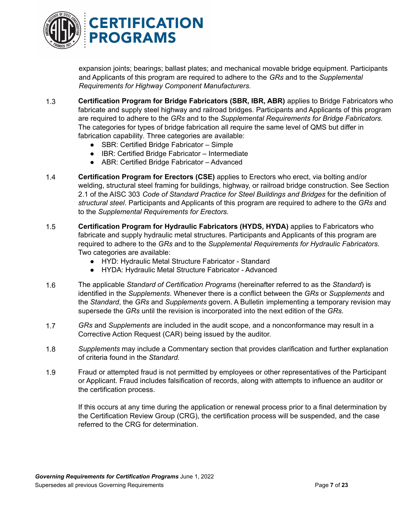

expansion joints; bearings; ballast plates; and mechanical movable bridge equipment. Participants and Applicants of this program are required to adhere to the *GRs* and to the *Supplemental Requirements for Highway Component Manufacturers.*

- 1.3 **Certification Program for Bridge Fabricators (SBR, IBR, ABR)** applies to Bridge Fabricators who fabricate and supply steel highway and railroad bridges. Participants and Applicants of this program are required to adhere to the *GRs* and to the *Supplemental Requirements for Bridge Fabricators.* The categories for types of bridge fabrication all require the same level of QMS but differ in fabrication capability*.* Three categories are available:
	- SBR: Certified Bridge Fabricator Simple
	- IBR: Certified Bridge Fabricator Intermediate
	- ABR: Certified Bridge Fabricator Advanced
- 1.4 **Certification Program for Erectors (CSE)** applies to Erectors who erect, via bolting and/or welding, structural steel framing for buildings, highway, or railroad bridge construction. See Section 2.1 of the AISC 303 *Code of Standard Practice for Steel Buildings and Bridges* for the definition of *structural steel*. Participants and Applicants of this program are required to adhere to the *GRs* and to the *Supplemental Requirements for Erectors.*
- 1.5 **Certification Program for Hydraulic Fabricators (HYDS, HYDA)** applies to Fabricators who fabricate and supply hydraulic metal structures. Participants and Applicants of this program are required to adhere to the *GRs* and to the *Supplemental Requirements for Hydraulic Fabricators.* Two categories are available:
	- HYD: Hydraulic Metal Structure Fabricator Standard
	- HYDA: Hydraulic Metal Structure Fabricator Advanced
- 1.6 The applicable *Standard of Certification Programs* (hereinafter referred to as the *Standard*) is identified in the *Supplements*. Whenever there is a conflict between the *GRs* or *Supplements* and the *Standard*, the *GRs* and *Supplements* govern. A Bulletin implementing a temporary revision may supersede the *GRs* until the revision is incorporated into the next edition of the *GRs*.
- 1.7 *GRs* and *Supplements* are included in the audit scope, and a nonconformance may result in a Corrective Action Request (CAR) being issued by the auditor.
- 1.8 *Supplements* may include a Commentary section that provides clarification and further explanation of criteria found in the *Standard.*
- 1.9 Fraud or attempted fraud is not permitted by employees or other representatives of the Participant or Applicant. Fraud includes falsification of records, along with attempts to influence an auditor or the certification process.

If this occurs at any time during the application or renewal process prior to a final determination by the Certification Review Group (CRG), the certification process will be suspended, and the case referred to the CRG for determination.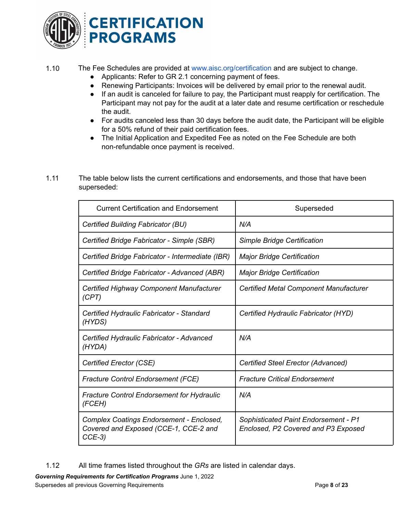

#### 1.10 The Fee Schedules are provided at [www.aisc.org/certification](http://www.aisc.org/certification) and are subject to change.

- Applicants: Refer to GR 2.1 concerning payment of fees.
- Renewing Participants: Invoices will be delivered by email prior to the renewal audit.
- If an audit is canceled for failure to pay, the Participant must reapply for certification. The Participant may not pay for the audit at a later date and resume certification or reschedule the audit.
- For audits canceled less than 30 days before the audit date, the Participant will be eligible for a 50% refund of their paid certification fees.
- The Initial Application and Expedited Fee as noted on the Fee Schedule are both non-refundable once payment is received.
- 1.11 The table below lists the current certifications and endorsements, and those that have been superseded:

| <b>Current Certification and Endorsement</b>                                                 | Superseded                                                                  |  |  |
|----------------------------------------------------------------------------------------------|-----------------------------------------------------------------------------|--|--|
| Certified Building Fabricator (BU)                                                           | N/A                                                                         |  |  |
| Certified Bridge Fabricator - Simple (SBR)                                                   | Simple Bridge Certification                                                 |  |  |
| Certified Bridge Fabricator - Intermediate (IBR)                                             | <b>Major Bridge Certification</b>                                           |  |  |
| Certified Bridge Fabricator - Advanced (ABR)                                                 | <b>Major Bridge Certification</b>                                           |  |  |
| Certified Highway Component Manufacturer<br>(CPT)                                            | <b>Certified Metal Component Manufacturer</b>                               |  |  |
| Certified Hydraulic Fabricator - Standard<br>(HYDS)                                          | Certified Hydraulic Fabricator (HYD)                                        |  |  |
| Certified Hydraulic Fabricator - Advanced<br>(HYDA)                                          | N/A                                                                         |  |  |
| Certified Erector (CSE)                                                                      | Certified Steel Erector (Advanced)                                          |  |  |
| <b>Fracture Control Endorsement (FCE)</b>                                                    | <b>Fracture Critical Endorsement</b>                                        |  |  |
| <b>Fracture Control Endorsement for Hydraulic</b><br>(FCEH)                                  | N/A                                                                         |  |  |
| Complex Coatings Endorsement - Enclosed,<br>Covered and Exposed (CCE-1, CCE-2 and<br>$CCE-3$ | Sophisticated Paint Endorsement - P1<br>Enclosed, P2 Covered and P3 Exposed |  |  |

1.12 All time frames listed throughout the *GRs* are listed in calendar days.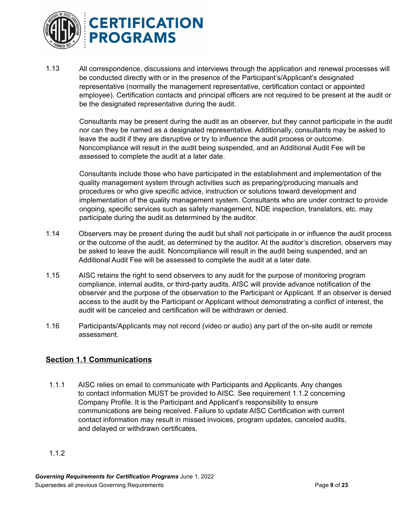

1.13 All correspondence, discussions and interviews through the application and renewal processes will be conducted directly with or in the presence of the Participant's/Applicant's designated representative (normally the management representative, certification contact or appointed employee). Certification contacts and principal officers are not required to be present at the audit or be the designated representative during the audit.

Consultants may be present during the audit as an observer, but they cannot participate in the audit nor can they be named as a designated representative. Additionally, consultants may be asked to leave the audit if they are disruptive or try to influence the audit process or outcome. Noncompliance will result in the audit being suspended, and an Additional Audit Fee will be assessed to complete the audit at a later date.

Consultants include those who have participated in the establishment and implementation of the quality management system through activities such as preparing/producing manuals and procedures or who give specific advice, instruction or solutions toward development and implementation of the quality management system. Consultants who are under contract to provide ongoing, specific services such as safety management, NDE inspection, translators, etc. may participate during the audit as determined by the auditor.

- 1.14 Observers may be present during the audit but shall not participate in or influence the audit process or the outcome of the audit, as determined by the auditor. At the auditor's discretion, observers may be asked to leave the audit. Noncompliance will result in the audit being suspended, and an Additional Audit Fee will be assessed to complete the audit at a later date.
- 1.15 AISC retains the right to send observers to any audit for the purpose of monitoring program compliance, internal audits, or third-party audits. AISC will provide advance notification of the observer and the purpose of the observation to the Participant or Applicant. If an observer is denied access to the audit by the Participant or Applicant without demonstrating a conflict of interest, the audit will be canceled and certification will be withdrawn or denied.
- 1.16 Participants/Applicants may not record (video or audio) any part of the on-site audit or remote assessment.

## **Section 1.1 Communications**

- 1.1.1 AISC relies on email to communicate with Participants and Applicants. Any changes to contact information MUST be provided to AISC. See requirement 1.1.2 concerning Company Profile. It is the Participant and Applicant's responsibility to ensure communications are being received. Failure to update AISC Certification with current contact information may result in missed invoices, program updates, canceled audits, and delayed or withdrawn certificates.
- 1.1.2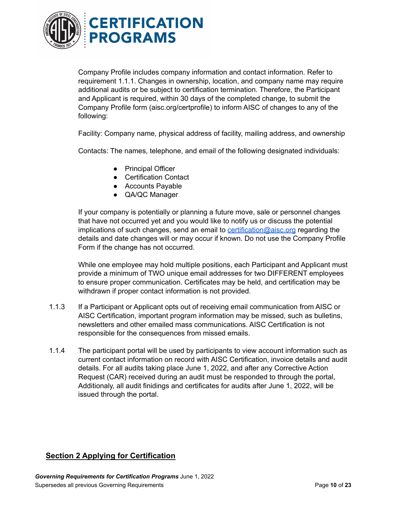

Company Profile includes company information and contact information. Refer to requirement 1.1.1. Changes in ownership, location, and company name may require additional audits or be subject to certification termination. Therefore, the Participant and Applicant is required, within 30 days of the completed change, to submit the Company Profile form (aisc.org/certprofile) to inform AISC of changes to any of the following:

Facility: Company name, physical address of facility, mailing address, and ownership

Contacts: The names, telephone, and email of the following designated individuals:

- Principal Officer
- Certification Contact
- Accounts Payable
- QA/QC Manager

If your company is potentially or planning a future move, sale or personnel changes that have not occurred yet and you would like to notify us or discuss the potential implications of such changes, send an email to [certification@aisc.org](mailto:certification@aisc.org) regarding the details and date changes will or may occur if known. Do not use the Company Profile Form if the change has not occurred.

While one employee may hold multiple positions, each Participant and Applicant must provide a minimum of TWO unique email addresses for two DIFFERENT employees to ensure proper communication. Certificates may be held, and certification may be withdrawn if proper contact information is not provided.

- 1.1.3 If a Participant or Applicant opts out of receiving email communication from AISC or AISC Certification, important program information may be missed, such as bulletins, newsletters and other emailed mass communications. AISC Certification is not responsible for the consequences from missed emails.
- 1.1.4 The participant portal will be used by participants to view account information such as current contact information on record with AISC Certification, invoice details and audit details. For all audits taking place June 1, 2022, and after any Corrective Action Request (CAR) received during an audit must be responded to through the portal, Additionaly, all audit finidings and certificates for audits after June 1, 2022, will be issued through the portal.

## **Section 2 Applying for Certification**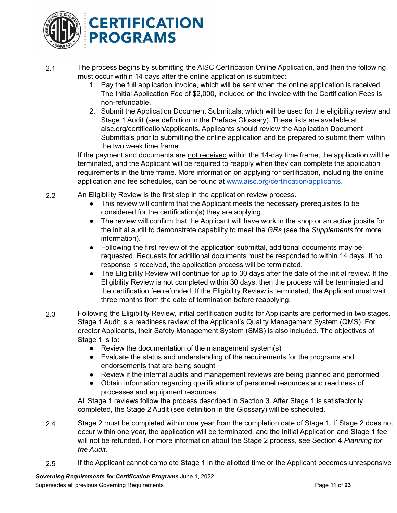

- 2.1 The process begins by submitting the AISC Certification Online Application, and then the following must occur within 14 days after the online application is submitted:
	- 1. Pay the full application invoice, which will be sent when the online application is received. The Initial Application Fee of \$2,000, included on the invoice with the Certification Fees is non-refundable.
	- 2. Submit the Application Document Submittals, which will be used for the eligibility review and Stage 1 Audit (see definition in the Preface Glossary). These lists are available at aisc.org/certification/applicants. Applicants should review the Application Document Submittals prior to submitting the online application and be prepared to submit them within the two week time frame.

If the payment and documents are not received within the 14-day time frame, the application will be terminated, and the Applicant will be required to reapply when they can complete the application requirements in the time frame. More information on applying for certification, including the online application and fee schedules, can be found at [www.aisc.org/certification/applicants.](http://www.aisc.org/certification/applicants)

- 2.2 An Eligibility Review is the first step in the application review process.
	- This review will confirm that the Applicant meets the necessary prerequisites to be considered for the certification(s) they are applying.
	- The review will confirm that the Applicant will have work in the shop or an active jobsite for the initial audit to demonstrate capability to meet the *GRs* (see the *Supplements* for more information).
	- Following the first review of the application submittal, additional documents may be requested. Requests for additional documents must be responded to within 14 days. If no response is received, the application process will be terminated.
	- The Eligibility Review will continue for up to 30 days after the date of the initial review. If the Eligibility Review is not completed within 30 days, then the process will be terminated and the certification fee refunded. If the Eligibility Review is terminated, the Applicant must wait three months from the date of termination before reapplying.
- 2.3 Following the Eligibility Review, initial certification audits for Applicants are performed in two stages. Stage 1 Audit is a readiness review of the Applicant's Quality Management System (QMS). For erector Applicants, their Safety Management System (SMS) is also included. The objectives of Stage 1 is to:
	- Review the documentation of the management system(s)
	- Evaluate the status and understanding of the requirements for the programs and endorsements that are being sought
	- Review if the internal audits and management reviews are being planned and performed
	- Obtain information regarding qualifications of personnel resources and readiness of processes and equipment resources

All Stage 1 reviews follow the process described in Section 3. After Stage 1 is satisfactorily completed, the Stage 2 Audit (see definition in the Glossary) will be scheduled.

- 2.4 Stage 2 must be completed within one year from the completion date of Stage 1. If Stage 2 does not occur within one year, the application will be terminated, and the Initial Application and Stage 1 fee will not be refunded. For more information about the Stage 2 process, see Section 4 *Planning for the Audit*.
- 2.5 If the Applicant cannot complete Stage 1 in the allotted time or the Applicant becomes unresponsive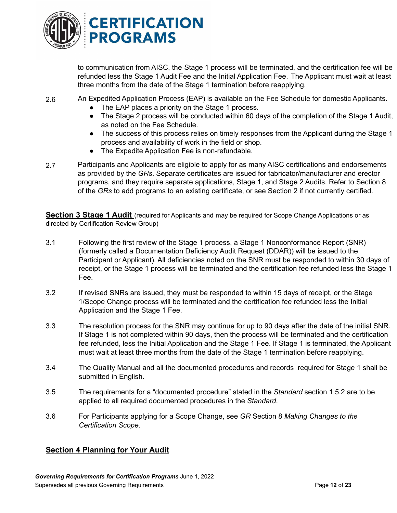

to communication from AISC, the Stage 1 process will be terminated, and the certification fee will be refunded less the Stage 1 Audit Fee and the Initial Application Fee. The Applicant must wait at least three months from the date of the Stage 1 termination before reapplying.

2.6 An Expedited Application Process (EAP) is available on the Fee Schedule for domestic Applicants.

- The EAP places a priority on the Stage 1 process.
- The Stage 2 process will be conducted within 60 days of the completion of the Stage 1 Audit, as noted on the Fee Schedule.
- The success of this process relies on timely responses from the Applicant during the Stage 1 process and availability of work in the field or shop.
- The Expedite Application Fee is non-refundable.
- 2.7 Participants and Applicants are eligible to apply for as many AISC certifications and endorsements as provided by the *GRs*. Separate certificates are issued for fabricator/manufacturer and erector programs, and they require separate applications, Stage 1, and Stage 2 Audits. Refer to Section 8 of the *GRs* to add programs to an existing certificate, or see Section 2 if not currently certified.

**Section 3 Stage 1 Audit** (required for Applicants and may be required for Scope Change Applications or as directed by Certification Review Group)

- 3.1 Following the first review of the Stage 1 process, a Stage 1 Nonconformance Report (SNR) (formerly called a Documentation Deficiency Audit Request (DDAR)) will be issued to the Participant or Applicant). All deficiencies noted on the SNR must be responded to within 30 days of receipt, or the Stage 1 process will be terminated and the certification fee refunded less the Stage 1 Fee.
- 3.2 If revised SNRs are issued, they must be responded to within 15 days of receipt, or the Stage 1/Scope Change process will be terminated and the certification fee refunded less the Initial Application and the Stage 1 Fee.
- 3.3 The resolution process for the SNR may continue for up to 90 days after the date of the initial SNR. If Stage 1 is not completed within 90 days, then the process will be terminated and the certification fee refunded, less the Initial Application and the Stage 1 Fee. If Stage 1 is terminated, the Applicant must wait at least three months from the date of the Stage 1 termination before reapplying.
- 3.4 The Quality Manual and all the documented procedures and records required for Stage 1 shall be submitted in English.
- 3.5 The requirements for a "documented procedure" stated in the *Standard* section 1.5.2 are to be applied to all required documented procedures in the *Standard*.
- 3.6 For Participants applying for a Scope Change, see *GR* Section 8 *Making Changes to the Certification Scope*.

# **Section 4 Planning for Your Audit**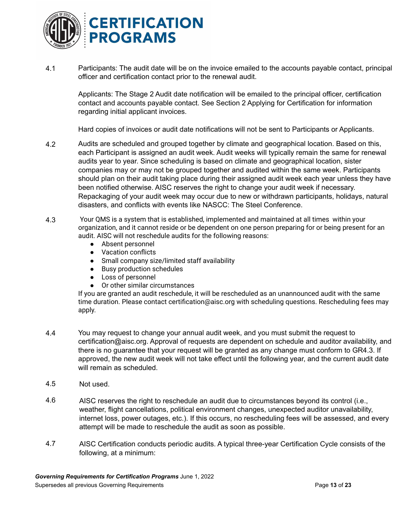

4.1 Participants: The audit date will be on the invoice emailed to the accounts payable contact, principal officer and certification contact prior to the renewal audit.

Applicants: The Stage 2 Audit date notification will be emailed to the principal officer, certification contact and accounts payable contact. See Section 2 Applying for Certification for information regarding initial applicant invoices.

Hard copies of invoices or audit date notifications will not be sent to Participants or Applicants.

- 4.2 Audits are scheduled and grouped together by climate and geographical location. Based on this, each Participant is assigned an audit week. Audit weeks will typically remain the same for renewal audits year to year. Since scheduling is based on climate and geographical location, sister companies may or may not be grouped together and audited within the same week. Participants should plan on their audit taking place during their assigned audit week each year unless they have been notified otherwise. AISC reserves the right to change your audit week if necessary. Repackaging of your audit week may occur due to new or withdrawn participants, holidays, natural disasters, and conflicts with events like NASCC: The Steel Conference.
- 4.3 Your QMS is a system that is established, implemented and maintained at all times within your organization, and it cannot reside or be dependent on one person preparing for or being present for an audit. AISC will not reschedule audits for the following reasons:
	- Absent personnel
	- Vacation conflicts
	- Small company size/limited staff availability
	- Busy production schedules
	- Loss of personnel
	- Or other similar circumstances

If you are granted an audit reschedule, it will be rescheduled as an unannounced audit with the same time duration. Please contact certification@aisc.org with scheduling questions. Rescheduling fees may apply.

- 4.4 You may request to change your annual audit week, and you must submit the request to certification@aisc.org. Approval of requests are dependent on schedule and auditor availability, and there is no guarantee that your request will be granted as any change must conform to GR4.3. If approved, the new audit week will not take effect until the following year, and the current audit date will remain as scheduled.
- 4.5 Not used.
- 4.6 AISC reserves the right to reschedule an audit due to circumstances beyond its control (i.e., weather, flight cancellations, political environment changes, unexpected auditor unavailability, internet loss, power outages, etc.). If this occurs, no rescheduling fees will be assessed, and every attempt will be made to reschedule the audit as soon as possible.
- 4.7 AISC Certification conducts periodic audits. A typical three-year Certification Cycle consists of the following, at a minimum: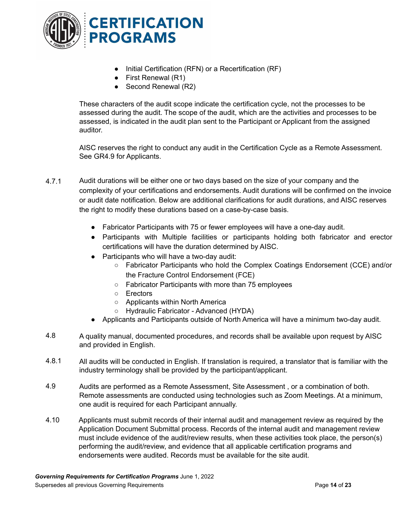

- Initial Certification (RFN) or a Recertification (RF)
- First Renewal (R1)
- Second Renewal (R2)

These characters of the audit scope indicate the certification cycle, not the processes to be assessed during the audit. The scope of the audit, which are the activities and processes to be assessed, is indicated in the audit plan sent to the Participant or Applicant from the assigned auditor.

AISC reserves the right to conduct any audit in the Certification Cycle as a Remote Assessment. See GR4.9 for Applicants.

- 4.7.1 Audit durations will be either one or two days based on the size of your company and the complexity of your certifications and endorsements. Audit durations will be confirmed on the invoice or audit date notification. Below are additional clarifications for audit durations, and AISC reserves the right to modify these durations based on a case-by-case basis.
	- Fabricator Participants with 75 or fewer employees will have a one-day audit.
	- Participants with Multiple facilities or participants holding both fabricator and erector certifications will have the duration determined by AISC.
	- Participants who will have a two-day audit:
		- Fabricator Participants who hold the Complex Coatings Endorsement (CCE) and/or the Fracture Control Endorsement (FCE)
		- Fabricator Participants with more than 75 employees
		- Erectors
		- Applicants within North America
		- Hydraulic Fabricator Advanced (HYDA)
	- Applicants and Participants outside of North America will have a minimum two-day audit.
- 4.8 A quality manual, documented procedures, and records shall be available upon request by AISC and provided in English.
- 4.8.1 All audits will be conducted in English. If translation is required, a translator that is familiar with the industry terminology shall be provided by the participant/applicant.
- 4.9 Audits are performed as a Remote Assessment, Site Assessment , or a combination of both. Remote assessments are conducted using technologies such as Zoom Meetings. At a minimum, one audit is required for each Participant annually.
- 4.10 Applicants must submit records of their internal audit and management review as required by the Application Document Submittal process. Records of the internal audit and management review must include evidence of the audit/review results, when these activities took place, the person(s) performing the audit/review, and evidence that all applicable certification programs and endorsements were audited. Records must be available for the site audit.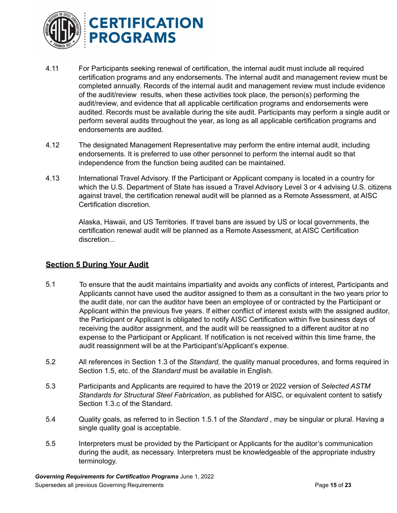

- 4.11 For Participants seeking renewal of certification, the internal audit must include all required certification programs and any endorsements. The internal audit and management review must be completed annually. Records of the internal audit and management review must include evidence of the audit/review results, when these activities took place, the person(s) performing the audit/review, and evidence that all applicable certification programs and endorsements were audited. Records must be available during the site audit. Participants may perform a single audit or perform several audits throughout the year, as long as all applicable certification programs and endorsements are audited.
- 4.12 The designated Management Representative may perform the entire internal audit, including endorsements. It is preferred to use other personnel to perform the internal audit so that independence from the function being audited can be maintained.
- 4.13 International Travel Advisory. If the Participant or Applicant company is located in a country for which the U.S. Department of State has issued a Travel Advisory Level 3 or 4 advising U.S. citizens against travel, the certification renewal audit will be planned as a Remote Assessment, at AISC Certification discretion.

Alaska, Hawaii, and US Territories. If travel bans are issued by US or local governments, the certification renewal audit will be planned as a Remote Assessment, at AISC Certification discretion...

## **Section 5 During Your Audit**

- 5.1 To ensure that the audit maintains impartiality and avoids any conflicts of interest, Participants and Applicants cannot have used the auditor assigned to them as a consultant in the two years prior to the audit date, nor can the auditor have been an employee of or contracted by the Participant or Applicant within the previous five years. If either conflict of interest exists with the assigned auditor, the Participant or Applicant is obligated to notify AISC Certification within five business days of receiving the auditor assignment, and the audit will be reassigned to a different auditor at no expense to the Participant or Applicant. If notification is not received within this time frame, the audit reassignment will be at the Participant's/Applicant's expense.
- 5.2 All references in Section 1.3 of the *Standard,* the quality manual procedures, and forms required in Section 1.5, etc. of the *Standard* must be available in English.
- 5.3 Participants and Applicants are required to have the 2019 or 2022 version of *Selected ASTM Standards for Structural Steel Fabrication*, as published for AISC, or equivalent content to satisfy Section 1.3.c of the Standard.
- 5.4 Quality goals, as referred to in Section 1.5.1 of the *Standard ,* may be singular or plural. Having a single quality goal is acceptable.
- 5.5 Interpreters must be provided by the Participant or Applicants for the auditor's communication during the audit, as necessary. Interpreters must be knowledgeable of the appropriate industry terminology.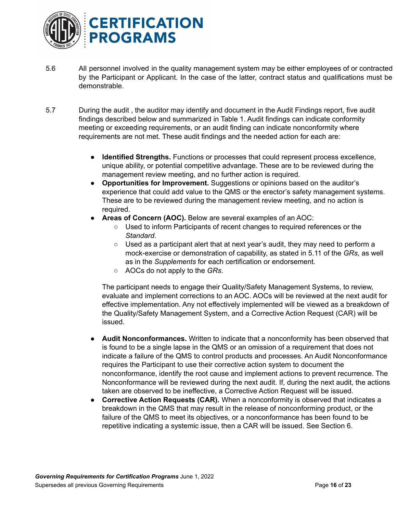

- 5.6 All personnel involved in the quality management system may be either employees of or contracted by the Participant or Applicant. In the case of the latter, contract status and qualifications must be demonstrable.
- 5.7 During the audit , the auditor may identify and document in the Audit Findings report, five audit findings described below and summarized in Table 1. Audit findings can indicate conformity meeting or exceeding requirements, or an audit finding can indicate nonconformity where requirements are not met. These audit findings and the needed action for each are:
	- **Identified Strengths.** Functions or processes that could represent process excellence, unique ability, or potential competitive advantage. These are to be reviewed during the management review meeting, and no further action is required.
	- **Opportunities for Improvement.** Suggestions or opinions based on the auditor's experience that could add value to the QMS or the erector's safety management systems. These are to be reviewed during the management review meeting, and no action is required.
	- **Areas of Concern (AOC).** Below are several examples of an AOC:
		- Used to inform Participants of recent changes to required references or the *Standard*.
		- Used as a participant alert that at next year's audit, they may need to perform a mock-exercise or demonstration of capability, as stated in 5.11 of the *GRs*, as well as in the *Supplements* for each certification or endorsement.
		- AOCs do not apply to the *GRs*.

The participant needs to engage their Quality/Safety Management Systems, to review, evaluate and implement corrections to an AOC. AOCs will be reviewed at the next audit for effective implementation. Any not effectively implemented will be viewed as a breakdown of the Quality/Safety Management System, and a Corrective Action Request (CAR) will be issued.

- **● Audit Nonconformances.** Written to indicate that a nonconformity has been observed that is found to be a single lapse in the QMS or an omission of a requirement that does not indicate a failure of the QMS to control products and processes. An Audit Nonconformance requires the Participant to use their corrective action system to document the nonconformance, identify the root cause and implement actions to prevent recurrence. The Nonconformance will be reviewed during the next audit. If, during the next audit, the actions taken are observed to be ineffective, a Corrective Action Request will be issued.
- **Corrective Action Requests (CAR).** When a nonconformity is observed that indicates a breakdown in the QMS that may result in the release of nonconforming product, or the failure of the QMS to meet its objectives, or a nonconformance has been found to be repetitive indicating a systemic issue, then a CAR will be issued. See Section 6.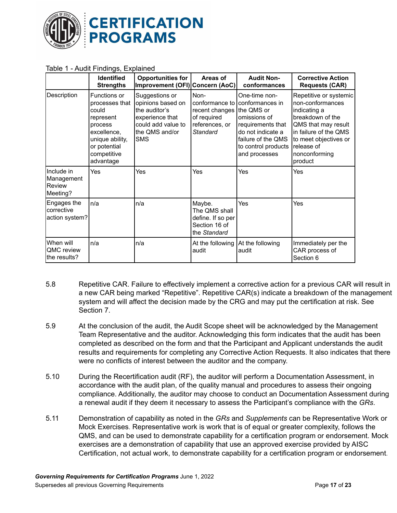

|                                                | <u>ə-, ---</u><br>Identified<br><b>Strengths</b>                                                                                              | <b>Opportunities for</b><br>Improvement (OFI) Concern (AoC)                                                                   | Areas of                                                                              | <b>Audit Non-</b><br>conformances                                                                                                                                      | <b>Corrective Action</b><br><b>Requests (CAR)</b>                                                                                                                                                 |
|------------------------------------------------|-----------------------------------------------------------------------------------------------------------------------------------------------|-------------------------------------------------------------------------------------------------------------------------------|---------------------------------------------------------------------------------------|------------------------------------------------------------------------------------------------------------------------------------------------------------------------|---------------------------------------------------------------------------------------------------------------------------------------------------------------------------------------------------|
| Description                                    | Functions or<br>processes that<br>could<br>represent<br>process<br>excellence,<br>unique ability,<br>or potential<br>competitive<br>advantage | Suggestions or<br>opinions based on<br>the auditor's<br>experience that<br>could add value to<br>the QMS and/or<br><b>SMS</b> | Non-<br>conformance to<br>recent changes<br>of required<br>references, or<br>Standard | One-time non-<br>conformances in<br>the QMS or<br>omissions of<br>requirements that<br>do not indicate a<br>failure of the QMS<br>to control products<br>and processes | Repetitive or systemic<br>non-conformances<br>indicating a<br>breakdown of the<br>QMS that may result<br>in failure of the QMS<br>to meet objectives or<br>release of<br>nonconforming<br>product |
| Include in<br>Management<br>Review<br>Meeting? | Yes                                                                                                                                           | Yes                                                                                                                           | Yes                                                                                   | Yes                                                                                                                                                                    | Yes                                                                                                                                                                                               |
| Engages the<br>corrective<br>action system?    | n/a                                                                                                                                           | n/a                                                                                                                           | Maybe.<br>The QMS shall<br>define. If so per<br>Section 16 of<br>the Standard         | Yes                                                                                                                                                                    | Yes                                                                                                                                                                                               |
| When will<br>QMC review<br>the results?        | n/a                                                                                                                                           | n/a                                                                                                                           | At the following<br>audit                                                             | At the following<br>audit                                                                                                                                              | Immediately per the<br>CAR process of<br>Section 6                                                                                                                                                |

#### Table 1 - Audit Findings, Explained

- 5.8 Repetitive CAR. Failure to effectively implement a corrective action for a previous CAR will result in a new CAR being marked "Repetitive". Repetitive CAR(s) indicate a breakdown of the management system and will affect the decision made by the CRG and may put the certification at risk. See Section 7.
- 5.9 At the conclusion of the audit, the Audit Scope sheet will be acknowledged by the Management Team Representative and the auditor. Acknowledging this form indicates that the audit has been completed as described on the form and that the Participant and Applicant understands the audit results and requirements for completing any Corrective Action Requests. It also indicates that there were no conflicts of interest between the auditor and the company.
- 5.10 During the Recertification audit (RF), the auditor will perform a Documentation Assessment, in accordance with the audit plan, of the quality manual and procedures to assess their ongoing compliance. Additionally, the auditor may choose to conduct an Documentation Assessment during a renewal audit if they deem it necessary to assess the Participant's compliance with the *GRs*.
- 5.11 Demonstration of capability as noted in the *GRs* and *Supplements* can be Representative Work or Mock Exercises. Representative work is work that is of equal or greater complexity, follows the QMS, and can be used to demonstrate capability for a certification program or endorsement. Mock exercises are a demonstration of capability that use an approved exercise provided by AISC Certification, not actual work, to demonstrate capability for a certification program or endorsement.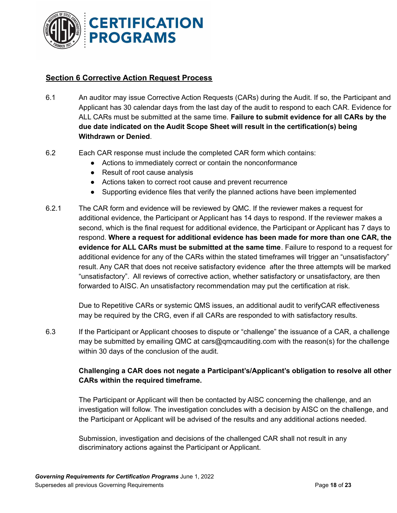

# **Section 6 Corrective Action Request Process**

- 6.1 An auditor may issue Corrective Action Requests (CARs) during the Audit. If so, the Participant and Applicant has 30 calendar days from the last day of the audit to respond to each CAR. Evidence for ALL CARs must be submitted at the same time. **Failure to submit evidence for all CARs by the due date indicated on the Audit Scope Sheet will result in the certification(s) being Withdrawn or Denied**.
- 6.2 Each CAR response must include the completed CAR form which contains:
	- Actions to immediately correct or contain the nonconformance
	- Result of root cause analysis
	- Actions taken to correct root cause and prevent recurrence
	- Supporting evidence files that verify the planned actions have been implemented
- 6.2.1 The CAR form and evidence will be reviewed by QMC. If the reviewer makes a request for additional evidence, the Participant or Applicant has 14 days to respond. If the reviewer makes a second, which is the final request for additional evidence, the Participant or Applicant has 7 days to respond. **Where a request for additional evidence has been made for more than one CAR, the evidence for ALL CARs must be submitted at the same time**. Failure to respond to a request for additional evidence for any of the CARs within the stated timeframes will trigger an "unsatisfactory" result. Any CAR that does not receive satisfactory evidence after the three attempts will be marked "unsatisfactory". All reviews of corrective action, whether satisfactory or unsatisfactory, are then forwarded to AISC. An unsatisfactory recommendation may put the certification at risk.

Due to Repetitive CARs or systemic QMS issues, an additional audit to verifyCAR effectiveness may be required by the CRG, even if all CARs are responded to with satisfactory results.

6.3 If the Participant or Applicant chooses to dispute or "challenge" the issuance of a CAR, a challenge may be submitted by emailing QMC at cars@qmcauditing.com with the reason(s) for the challenge within 30 days of the conclusion of the audit.

# **Challenging a CAR does not negate a Participant's/Applicant's obligation to resolve all other CARs within the required timeframe.**

The Participant or Applicant will then be contacted by AISC concerning the challenge, and an investigation will follow. The investigation concludes with a decision by AISC on the challenge, and the Participant or Applicant will be advised of the results and any additional actions needed.

Submission, investigation and decisions of the challenged CAR shall not result in any discriminatory actions against the Participant or Applicant.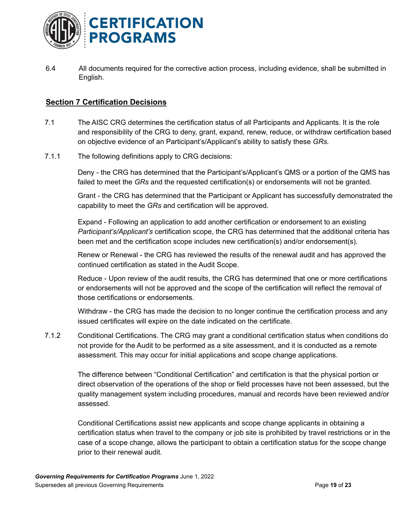

6.4 All documents required for the corrective action process, including evidence, shall be submitted in English.

## <span id="page-18-0"></span>**Section 7 Certification Decisions**

- 7.1 The AISC CRG determines the certification status of all Participants and Applicants. It is the role and responsibility of the CRG to deny, grant, expand, renew, reduce, or withdraw certification based on objective evidence of an Participant's/Applicant's ability to satisfy these *GRs.*
- 7.1.1 The following definitions apply to CRG decisions:

Deny - the CRG has determined that the Participant's/Applicant's QMS or a portion of the QMS has failed to meet the *GRs* and the requested certification(s) or endorsements will not be granted.

Grant - the CRG has determined that the Participant or Applicant has successfully demonstrated the capability to meet the *GRs* and certification will be approved.

Expand - Following an application to add another certification or endorsement to an existing *Participant's/Applicant's* certification scope, the CRG has determined that the additional criteria has been met and the certification scope includes new certification(s) and/or endorsement(s).

Renew or Renewal - the CRG has reviewed the results of the renewal audit and has approved the continued certification as stated in the Audit Scope.

Reduce - Upon review of the audit results, the CRG has determined that one or more certifications or endorsements will not be approved and the scope of the certification will reflect the removal of those certifications or endorsements.

Withdraw - the CRG has made the decision to no longer continue the certification process and any issued certificates will expire on the date indicated on the certificate.

7.1.2 Conditional Certifications. The CRG may grant a conditional certification status when conditions do not provide for the Audit to be performed as a site assessment, and it is conducted as a remote assessment. This may occur for initial applications and scope change applications.

The difference between "Conditional Certification" and certification is that the physical portion or direct observation of the operations of the shop or field processes have not been assessed, but the quality management system including procedures, manual and records have been reviewed and/or assessed.

Conditional Certifications assist new applicants and scope change applicants in obtaining a certification status when travel to the company or job site is prohibited by travel restrictions or in the case of a scope change, allows the participant to obtain a certification status for the scope change prior to their renewal audit.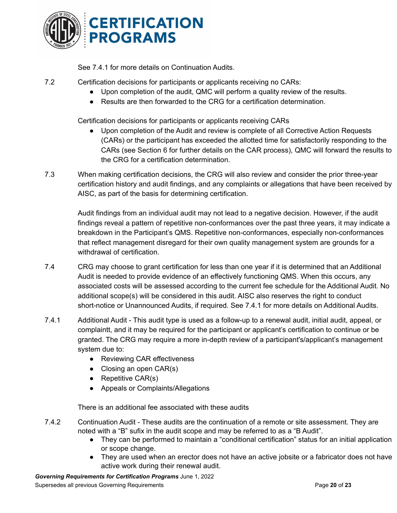

See 7.4.1 for more details on Continuation Audits.

7.2 Certification decisions for participants or applicants receiving no CARs:

- Upon completion of the audit, QMC will perform a quality review of the results.
- Results are then forwarded to the CRG for a certification determination.

Certification decisions for participants or applicants receiving CARs

- Upon completion of the Audit and review is complete of all Corrective Action Requests (CARs) or the participant has exceeded the allotted time for satisfactorily responding to the CARs (see Section 6 for further details on the CAR process), QMC will forward the results to the CRG for a certification determination.
- 7.3 When making certification decisions, the CRG will also review and consider the prior three-year certification history and audit findings, and any complaints or allegations that have been received by AISC, as part of the basis for determining certification.

Audit findings from an individual audit may not lead to a negative decision. However, if the audit findings reveal a pattern of repetitive non-conformances over the past three years, it may indicate a breakdown in the Participant's QMS. Repetitive non-conformances, especially non-conformances that reflect management disregard for their own quality management system are grounds for a withdrawal of certification.

- 7.4 CRG may choose to grant certification for less than one year if it is determined that an Additional Audit is needed to provide evidence of an effectively functioning QMS. When this occurs, any associated costs will be assessed according to the current fee schedule for the Additional Audit. No additional scope(s) will be considered in this audit. AISC also reserves the right to conduct short-notice or Unannounced Audits, if required. See 7.4.1 for more details on Additional Audits.
- 7.4.1 Additional Audit This audit type is used as a follow-up to a renewal audit, initial audit, appeal, or complaintt, and it may be required for the participant or applicant's certification to continue or be granted. The CRG may require a more in-depth review of a participant's/applicant's management system due to:
	- Reviewing CAR effectiveness
	- $\bullet$  Closing an open CAR(s)
	- $\bullet$  Repetitive CAR(s)
	- Appeals or Complaints/Allegations

There is an additional fee associated with these audits

- 7.4.2 Continuation Audit These audits are the continuation of a remote or site assessment. They are noted with a "B" sufix in the audit scope and may be referred to as a "B Audit".
	- They can be performed to maintain a "conditional certification" status for an initial application or scope change.
	- They are used when an erector does not have an active jobsite or a fabricator does not have active work during their renewal audit.

*Governing Requirements for Certification Programs* June 1, 2022 Supersedes all previous Governing Requirements Page **20** of **23**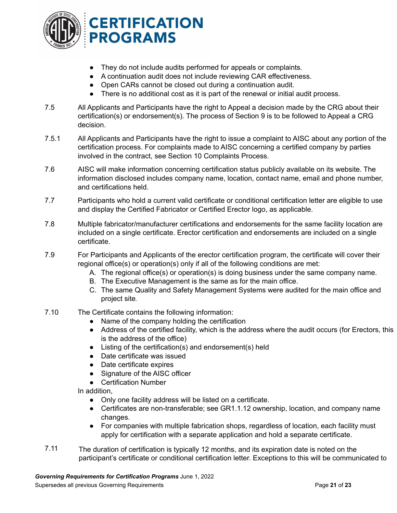

- They do not include audits performed for appeals or complaints.
- A continuation audit does not include reviewing CAR effectiveness.
- Open CARs cannot be closed out during a continuation audit.
- There is no additional cost as it is part of the renewal or initial audit process.
- 7.5 All Applicants and Participants have the right to Appeal a decision made by the CRG about their certification(s) or endorsement(s). The process of Section 9 is to be followed to Appeal a CRG decision.
- 7.5.1 All Applicants and Participants have the right to issue a complaint to AISC about any portion of the certification process. For complaints made to AISC concerning a certified company by parties involved in the contract, see Section 10 Complaints Process.
- 7.6 AISC will make information concerning certification status publicly available on its website. The information disclosed includes company name, location, contact name, email and phone number, and certifications held.
- 7.7 Participants who hold a current valid certificate or conditional certification letter are eligible to use and display the Certified Fabricator or Certified Erector logo, as applicable.
- 7.8 Multiple fabricator/manufacturer certifications and endorsements for the same facility location are included on a single certificate. Erector certification and endorsements are included on a single certificate.
- 7.9 For Participants and Applicants of the erector certification program, the certificate will cover their regional office(s) or operation(s) only if all of the following conditions are met:
	- A. The regional office(s) or operation(s) is doing business under the same company name.
	- B. The Executive Management is the same as for the main office.
	- C. The same Quality and Safety Management Systems were audited for the main office and project site.
- 7.10 The Certificate contains the following information:
	- Name of the company holding the certification
	- Address of the certified facility, which is the address where the audit occurs (for Erectors, this is the address of the office)
	- Listing of the certification(s) and endorsement(s) held
	- Date certificate was issued
	- Date certificate expires
	- Signature of the AISC officer
	- Certification Number

In addition,

- Only one facility address will be listed on a certificate.
- Certificates are non-transferable; see GR1.1.12 ownership, location, and company name changes.
- For companies with multiple fabrication shops, regardless of location, each facility must apply for certification with a separate application and hold a separate certificate.
- 7.11 The duration of certification is typically 12 months, and its expiration date is noted on the participant's certificate or conditional certification letter. Exceptions to this will be communicated to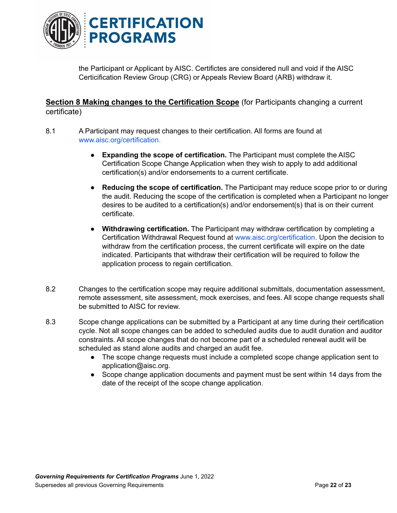

the Participant or Applicant by AISC. Certifictes are considered null and void if the AISC Certicification Review Group (CRG) or Appeals Review Board (ARB) withdraw it.

# **Section 8 Making changes to the Certification Scope** (for Participants changing a current certificate)

- 8.1 A Participant may request changes to their certification. All forms are found at [www.aisc.org/certification.](http://www.aisc.org/certification)
	- **Expanding the scope of certification.** The Participant must complete the AISC Certification Scope Change Application when they wish to apply to add additional certification(s) and/or endorsements to a current certificate.
	- **Reducing the scope of certification.** The Participant may reduce scope prior to or during the audit. Reducing the scope of the certification is completed when a Participant no longer desires to be audited to a certification(s) and/or endorsement(s) that is on their current certificate.
	- **Withdrawing certification.** The Participant may withdraw certification by completing a Certification Withdrawal Request found at [www.aisc.org/certification](http://www.aisc.org/certification). Upon the decision to withdraw from the certification process, the current certificate will expire on the date indicated. Participants that withdraw their certification will be required to follow the application process to regain certification.
- 8.2 Changes to the certification scope may require additional submittals, documentation assessment, remote assessment, site assessment, mock exercises, and fees. All scope change requests shall be submitted to AISC for review.
- 8.3 Scope change applications can be submitted by a Participant at any time during their certification cycle. Not all scope changes can be added to scheduled audits due to audit duration and auditor constraints. All scope changes that do not become part of a scheduled renewal audit will be scheduled as stand alone audits and charged an audit fee.
	- The scope change requests must include a completed scope change application sent to application@aisc.org.
	- Scope change application documents and payment must be sent within 14 days from the date of the receipt of the scope change application.